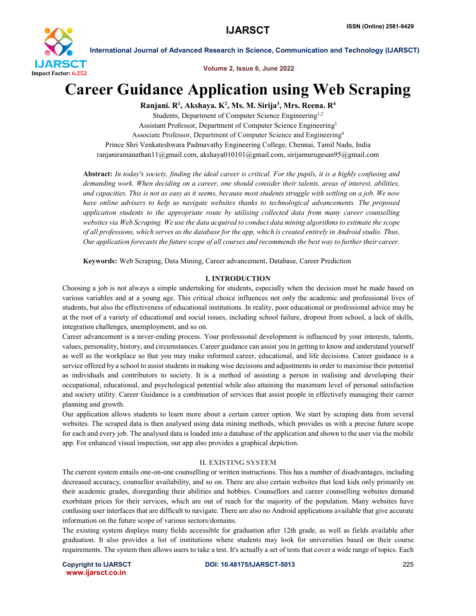

Volume 2, Issue 6, June 2022

# Career Guidance Application using Web Scraping

Ranjani. R<sup>1</sup>, Akshaya. K<sup>2</sup>, Ms. M. Sirija<sup>3</sup>, Mrs. Reena. R<sup>4</sup>

Students, Department of Computer Science Engineering<sup>1,2</sup> Assistant Professor, Department of Computer Science Engineering3 Associate Professor, Department of Computer Science and Engineering4 Prince Shri Venkateshwara Padmavathy Engineering College, Chennai, Tamil Nadu, India ranjaniramanathan11@gmail.com, akshaya010101@gmail.com, sirijamurugesan95@gmail.com

Abstract: *In today's society, finding the ideal career is critical. For the pupils, it is a highly confusing and demanding work. When deciding on a career, one should consider their talents, areas of interest, abilities, and capacities. This is not as easy as it seems, because most students struggle with settling on a job. We now have online advisers to help us navigate websites thanks to technological advancements. The proposed application students to the appropriate route by utilising collected data from many career counselling websites via Web Scraping. We use the data acquired to conduct data mining algorithms to estimate the scope of all professions, which serves as the database for the app, which is created entirely in Android studio. Thus, Our application forecasts the future scope of all courses and recommends the best way to further their career.*

Keywords: Web Scraping, Data Mining, Career advancement, Database, Career Prediction

### I. INTRODUCTION

Choosing a job is not always a simple undertaking for students, especially when the decision must be made based on various variables and at a young age. This critical choice influences not only the academic and professional lives of students, but also the effectiveness of educational institutions. In reality, poor educational or professional advice may be at the root of a variety of educational and social issues, including school failure, dropout from school, a lack of skills, integration challenges, unemployment, and so on.

Career advancement is a never-ending process. Your professional development is influenced by your interests, talents, values, personality, history, and circumstances. Career guidance can assist you in getting to know and understand yourself as well as the workplace so that you may make informed career, educational, and life decisions. Career guidance is a service offered by a school to assist students in making wise decisions and adjustments in order to maximise their potential as individuals and contributors to society. It is a method of assisting a person in realising and developing their occupational, educational, and psychological potential while also attaining the maximum level of personal satisfaction and society utility. Career Guidance is a combination of services that assist people in effectively managing their career planning and growth.

Our application allows students to learn more about a certain career option. We start by scraping data from several websites. The scraped data is then analysed using data mining methods, which provides us with a precise future scope for each and every job. The analysed data is loaded into a database of the application and shown to the user via the mobile app. For enhanced visual inspection, our app also provides a graphical depiction.

### II. EXISTING SYSTEM

The current system entails one-on-one counselling or written instructions. This has a number of disadvantages, including decreased accuracy, counsellor availability, and so on. There are also certain websites that lead kids only primarily on their academic grades, disregarding their abilities and hobbies. Counsellors and career counselling websites demand exorbitant prices for their services, which are out of reach for the majority of the population. Many websites have confusing user interfaces that are difficult to navigate. There are also no Android applications available that give accurate information on the future scope of various sectors/domains.

The existing system displays many fields accessible for graduation after 12th grade, as well as fields available after graduation. It also provides a list of institutions where students may look for universities based on their course requirements. The system then allows users to take a test. It's actually a set of tests that cover a wide range of topics. Each

www.ijarsct.co.in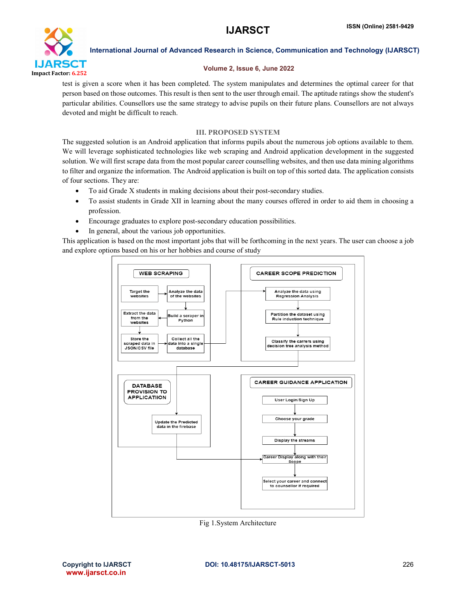

### Volume 2, Issue 6, June 2022

test is given a score when it has been completed. The system manipulates and determines the optimal career for that person based on those outcomes. This result is then sent to the user through email. The aptitude ratings show the student's particular abilities. Counsellors use the same strategy to advise pupils on their future plans. Counsellors are not always devoted and might be difficult to reach.

### III. PROPOSED SYSTEM

The suggested solution is an Android application that informs pupils about the numerous job options available to them. We will leverage sophisticated technologies like web scraping and Android application development in the suggested solution. We will first scrape data from the most popular career counselling websites, and then use data mining algorithms to filter and organize the information. The Android application is built on top of this sorted data. The application consists of four sections. They are:

- To aid Grade X students in making decisions about their post-secondary studies.
- To assist students in Grade XII in learning about the many courses offered in order to aid them in choosing a profession.
- Encourage graduates to explore post-secondary education possibilities.
- In general, about the various job opportunities.

This application is based on the most important jobs that will be forthcoming in the next years. The user can choose a job and explore options based on his or her hobbies and course of study



Fig 1.System Architecture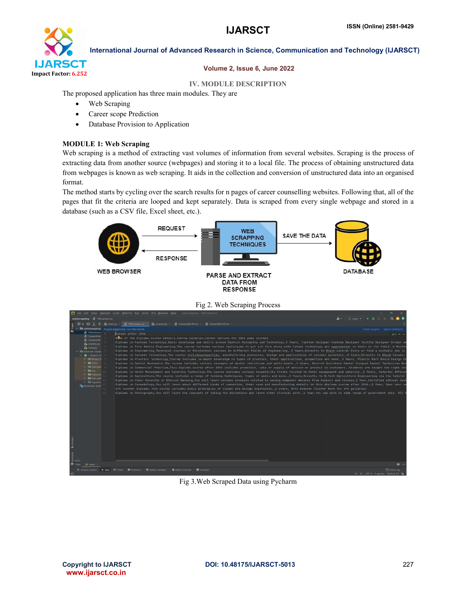

### Volume 2, Issue 6, June 2022

### IV. MODULE DESCRIPTION

The proposed application has three main modules. They are

- Web Scraping
- Career scope Prediction
- Database Provision to Application

### MODULE 1: Web Scraping

Web scraping is a method of extracting vast volumes of information from several websites. Scraping is the process of extracting data from another source (webpages) and storing it to a local file. The process of obtaining unstructured data from webpages is known as web scraping. It aids in the collection and conversion of unstructured data into an organised format.

The method starts by cycling over the search results for n pages of career counselling websites. Following that, all of the pages that fit the criteria are looped and kept separately. Data is scraped from every single webpage and stored in a database (such as a CSV file, Excel sheet, etc.).



### Fig 2. Web Scraping Process

| [5] Eile Edit View Navigate Code Refactor Run Tools VCS Window Help webscrapping 10thcareer.csv                                                                                                                                                                                                                                                                                                                                                                                                                                                                                                                                                                                                                                                                                                                                                                                                                                                                                                                                                                                                                                                                                                                                                                                                                                                                                                                                                                                                                                                                                                                                                                                                                                                                                                                                                                                                                                                                                                                                                                                                                                                                                                                                                                                                                                                                                                                                                                                                                                                                                                                                                                                                                                                                                 |                                                     |
|---------------------------------------------------------------------------------------------------------------------------------------------------------------------------------------------------------------------------------------------------------------------------------------------------------------------------------------------------------------------------------------------------------------------------------------------------------------------------------------------------------------------------------------------------------------------------------------------------------------------------------------------------------------------------------------------------------------------------------------------------------------------------------------------------------------------------------------------------------------------------------------------------------------------------------------------------------------------------------------------------------------------------------------------------------------------------------------------------------------------------------------------------------------------------------------------------------------------------------------------------------------------------------------------------------------------------------------------------------------------------------------------------------------------------------------------------------------------------------------------------------------------------------------------------------------------------------------------------------------------------------------------------------------------------------------------------------------------------------------------------------------------------------------------------------------------------------------------------------------------------------------------------------------------------------------------------------------------------------------------------------------------------------------------------------------------------------------------------------------------------------------------------------------------------------------------------------------------------------------------------------------------------------------------------------------------------------------------------------------------------------------------------------------------------------------------------------------------------------------------------------------------------------------------------------------------------------------------------------------------------------------------------------------------------------------------------------------------------------------------------------------------------------|-----------------------------------------------------|
| webscrapping 10thcareer.csv                                                                                                                                                                                                                                                                                                                                                                                                                                                                                                                                                                                                                                                                                                                                                                                                                                                                                                                                                                                                                                                                                                                                                                                                                                                                                                                                                                                                                                                                                                                                                                                                                                                                                                                                                                                                                                                                                                                                                                                                                                                                                                                                                                                                                                                                                                                                                                                                                                                                                                                                                                                                                                                                                                                                                     | <b>エ- 中main v   ト 益 E     Q ●  </b>                 |
| <b>個</b> Careerafter10.csv ×<br>0 I ÷<br>凹 10thcareer.csv<br>Courses.DV<br>■ Careerafter12.csv<br>Project<br><b>B</b> main.pv                                                                                                                                                                                                                                                                                                                                                                                                                                                                                                                                                                                                                                                                                                                                                                                                                                                                                                                                                                                                                                                                                                                                                                                                                                                                                                                                                                                                                                                                                                                                                                                                                                                                                                                                                                                                                                                                                                                                                                                                                                                                                                                                                                                                                                                                                                                                                                                                                                                                                                                                                                                                                                                   |                                                     |
| $\vee$ <b>Let</b> webscrapping <b>Plugins</b> supporting *.csv files found.                                                                                                                                                                                                                                                                                                                                                                                                                                                                                                                                                                                                                                                                                                                                                                                                                                                                                                                                                                                                                                                                                                                                                                                                                                                                                                                                                                                                                                                                                                                                                                                                                                                                                                                                                                                                                                                                                                                                                                                                                                                                                                                                                                                                                                                                                                                                                                                                                                                                                                                                                                                                                                                                                                     | Install plugins lignore extension                   |
| 图 10thcareer.c<br>Career after 10th<br><b>图</b> Careerafter<br>Name of the Diploma, Course Details, Course Duration, Career Options for 18th pass courses<br><b>El</b> Careerafter<br>Diploma in Fashion Technology.Basic knowledge and skills around Fashion Designing and Technology.3 Years. Fashion Designer Costume Designer Textile Designer Bridal we<br><b>COURSES DV</b><br>Diploma in Fire Safety Engineering, The course includes various techniques to put out fire along with latest technology and upgradation in tools in the field., 6 Months<br><b>B</b> main.py<br>Diploma in Engineering Technical courses or Polytechnic courses in different fields of Engineering. 3 Years Directly to Btech Lateral Entry or find a suitable job in<br>v Illi External Librari<br>Diploma in Ceramic Technology, The course includesproperties, manufacturing processes, design and applications of ceramic materials., 3 Years, Directly to Btech Ceramic<br>$\sim$ $\bullet$ < Python 3.5<br>> Ill Binary SI 7<br>Diploma in Plastics Technology, Course includes in-depth knowledge on types of plastics, their applications, properties and more., 3 Years, Plastic Part Mould Design En<br>$\sum$ DLLs $\frac{1}{2}$<br>Diploma in Dental Mechanics, The course includes various concepts of dental structures and delta heath., 2 Years, Dentist Assistant Dental Surgeon Dental Technician Res<br>> Ill Extende<br>Diploma in Commercial Practice,This diploma course after 10th includes promotion, sale or supply of service or product to customers. Students are taught the right ski<br>$>$ $\blacksquare$ Lib<br>Diploma in Hotel Management and Catering Technology. The course includes various hospitality traits related to hotel management and catering. 2 Years. Catering Officer<br>> Python3<br>Diploma in Agriculture, The course includes a range of farming techniques, types of soils and more., 2 Years, Directly to B. Tech Agriculture Engineering via the lateral<br>> laste-pack<br>Diploma in Cyber Security or Ethical Hacking,You will learn various concepts related to saving computer devices from hackers and viruses,1 Year,Certified ethical hack<br>> Ill Typeshe<br>Diploma in Cosmetology,You will learn about different kinds of cosmetics, their uses and manufacturing details in this diploma course after 10th.,1 Year, Open your ow<br>Scratches and C<br>Art Teacher Diploma, This course includes basic principles of visual and design experience.,2 years, Arts teacher Painter Work for Art galleries<br>14<br>15<br>Diploma in Stenography, You will learn the concepts of taking the dictations and learn other clerical work., 1 Year, You can work in wide range of government jobs. All t<br><b>L</b> Strudun | $46$ $\sim$ $\sim$                                  |
|                                                                                                                                                                                                                                                                                                                                                                                                                                                                                                                                                                                                                                                                                                                                                                                                                                                                                                                                                                                                                                                                                                                                                                                                                                                                                                                                                                                                                                                                                                                                                                                                                                                                                                                                                                                                                                                                                                                                                                                                                                                                                                                                                                                                                                                                                                                                                                                                                                                                                                                                                                                                                                                                                                                                                                                 |                                                     |
| <b>P</b> main                                                                                                                                                                                                                                                                                                                                                                                                                                                                                                                                                                                                                                                                                                                                                                                                                                                                                                                                                                                                                                                                                                                                                                                                                                                                                                                                                                                                                                                                                                                                                                                                                                                                                                                                                                                                                                                                                                                                                                                                                                                                                                                                                                                                                                                                                                                                                                                                                                                                                                                                                                                                                                                                                                                                                                   | **                                                  |
| P Version Control ▶ Run III TODO <b>O</b> Problems<br><b>D</b> Python Packages<br>Python Console <b>EX</b> Terminal                                                                                                                                                                                                                                                                                                                                                                                                                                                                                                                                                                                                                                                                                                                                                                                                                                                                                                                                                                                                                                                                                                                                                                                                                                                                                                                                                                                                                                                                                                                                                                                                                                                                                                                                                                                                                                                                                                                                                                                                                                                                                                                                                                                                                                                                                                                                                                                                                                                                                                                                                                                                                                                             | $Q$ Event Log<br>1:1 LF UTF-8 4 spaces Python 3.9 2 |

### Fig 3.Web Scraped Data using Pycharm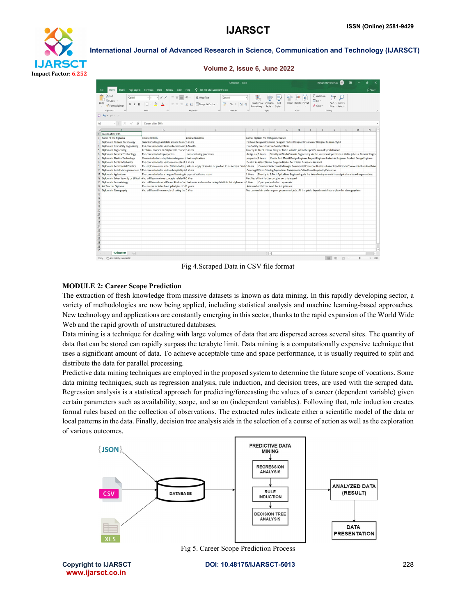

### Volume 2, Issue 6, June 2022

|                |                                                                                                |                                                                                             | 10thcareer - Excel                                                                                            |         |                                                             |                                                                                     |   |                                    |   |                                                       | Ranjani Ramanathan                                                                                                 |   |                                                                                                                           |
|----------------|------------------------------------------------------------------------------------------------|---------------------------------------------------------------------------------------------|---------------------------------------------------------------------------------------------------------------|---------|-------------------------------------------------------------|-------------------------------------------------------------------------------------|---|------------------------------------|---|-------------------------------------------------------|--------------------------------------------------------------------------------------------------------------------|---|---------------------------------------------------------------------------------------------------------------------------|
|                | Insert<br>File<br>Home                                                                         | Page Layout Formulas Data Review View Help                                                  | $Q$ Tell me what you want to co                                                                               |         |                                                             |                                                                                     |   |                                    |   |                                                       |                                                                                                                    |   | <b>Q</b> Share                                                                                                            |
|                | X Cut<br>Calibri<br>A Copy<br>Paste<br>$\cup$<br>S Format Painter<br>$\mathbb{Z}$<br>Clippoerd | $\equiv$ $\equiv$<br>Á.<br>$-11$<br>$\equiv$<br>$\equiv$ $\equiv$<br>ford                   | 》.<br>ab Wrap Text<br>General<br>Merge & Center ~<br><b>E</b><br>信頼<br><b>Alignment</b><br>$\infty$<br>Number |         | d,<br>Conditional Format<br>Formatting ~<br>Table<br>Styles | Cell<br>Styles -                                                                    |   | Ξ×<br>Insert Delete Format<br>Cels | c | $\Sigma$ AutoSum<br>$\sqrt{4}$ Fill $\sim$<br>Clear - | Sort & Find &<br>Filter ~ Select<br>Edting                                                                         |   | $\sim$                                                                                                                    |
|                | $\Box$ b $\sim$ c) $\sim$ :                                                                    |                                                                                             |                                                                                                               |         |                                                             |                                                                                     |   |                                    |   |                                                       |                                                                                                                    |   |                                                                                                                           |
| A1             | $\times$<br>fx<br>$\mathbf{v}$<br>$\checkmark$                                                 | Career after 10th                                                                           |                                                                                                               |         |                                                             |                                                                                     |   |                                    |   |                                                       |                                                                                                                    |   |                                                                                                                           |
|                | Career after 10th                                                                              | $\mathbf{F}$                                                                                | $\epsilon$                                                                                                    | D       | F.                                                          | F                                                                                   | G | H                                  |   |                                                       | κ                                                                                                                  | M | $\mathsf N$                                                                                                               |
| $\overline{c}$ | Name of the Diploma                                                                            | Course Details                                                                              | Course Duration                                                                                               |         |                                                             | Career Options for 10th pass courses                                                |   |                                    |   |                                                       |                                                                                                                    |   |                                                                                                                           |
| $\overline{3}$ | Diploma in Fashion Technology                                                                  | Basic knowledge and skills around Fashic 3 Years                                            |                                                                                                               |         |                                                             |                                                                                     |   |                                    |   |                                                       | Fashion Designer Costume Designer Textile Designer Bridal wear Designer Fashion Stylist                            |   |                                                                                                                           |
| $\sqrt{ }$     | Diploma in Fire Safety Engineering                                                             | The course includes various techniques t 6 Months                                           |                                                                                                               |         |                                                             | Fire Safety Executive Fire Safety Officer                                           |   |                                    |   |                                                       |                                                                                                                    |   |                                                                                                                           |
|                | 5 Diploma in Engineering                                                                       | Technical courses or Polytechnic courses 3 Years                                            |                                                                                                               |         |                                                             |                                                                                     |   |                                    |   |                                                       | Directly to Btech Lateral Entry or find a suitable job in the specific area of specialization.                     |   |                                                                                                                           |
|                | 6 Diploma in Ceramic Technology                                                                | The course includesproperties                                                               | manufacturing processes                                                                                       |         |                                                             |                                                                                     |   |                                    |   |                                                       |                                                                                                                    |   | design and 3 Years Directly to Btech Ceramic Engineering via the lateral entry or find a suitable job as a Ceramic Engine |
| 7              | Diploma in Plastics Technology                                                                 | Course includes in-depth knowledge on t their applications                                  |                                                                                                               |         |                                                             |                                                                                     |   |                                    |   |                                                       | properties 3 Years Plastic Part Mould Design Engineer Project Engineer Industrial Engineer Product Design Engineer |   |                                                                                                                           |
|                | 8 Diploma in Dental Mecharics                                                                  | The course includes various concepts of 2 Years                                             |                                                                                                               |         |                                                             | Dentist Assistant Dental Surgeon Dental Technician Research Assistant               |   |                                    |   |                                                       |                                                                                                                    |   |                                                                                                                           |
| 9              | Diploma in Commercial Practice                                                                 |                                                                                             | This diploma course after 10th includes p sale or supply of service or product to customers. Studi 3 Years    |         |                                                             |                                                                                     |   |                                    |   |                                                       |                                                                                                                    |   | Commercial Account Manager Commercial Executive Business Junior Head Branch Commercial Assistant Man                      |
|                |                                                                                                | 10 Diploma in Hotel Management and C The course includes various hospitality tr 2 Years     |                                                                                                               |         |                                                             | Catering Officer Catering Supervisors & Assistants Cabin Crew Hospitality Executive |   |                                    |   |                                                       |                                                                                                                    |   |                                                                                                                           |
|                | 11 Diploma in Agriculture                                                                      | The course includes a range of farming to types of soils and more.                          |                                                                                                               | 2 Years |                                                             |                                                                                     |   |                                    |   |                                                       | Directly to B. Tech Agriculture Engineering via the lateral entry or work in an Agriculture based organisation.    |   |                                                                                                                           |
|                |                                                                                                | 12 Diploma in Cyber Security or Ethical I You will learn various concepts related to 1 Year |                                                                                                               |         |                                                             | Certified ethical hacker or cyber security expert                                   |   |                                    |   |                                                       |                                                                                                                    |   |                                                                                                                           |
|                | 13 Diploma in Cosmetology                                                                      |                                                                                             | You will learn about different kinds of co their uses and manufacturing details in this diploma co(1 Year     |         |                                                             | Open you colorbar nykaa etc.                                                        |   |                                    |   |                                                       |                                                                                                                    |   |                                                                                                                           |
|                | 14 Art Teacher Diploma                                                                         | This course includes basic principles of vi 2 years                                         |                                                                                                               |         |                                                             | Arts teacher Painter Work for Art galleries                                         |   |                                    |   |                                                       |                                                                                                                    |   |                                                                                                                           |
|                | 15 Diploma in Stenography                                                                      | You will learn the concepts of taking the 1 Year                                            |                                                                                                               |         |                                                             |                                                                                     |   |                                    |   |                                                       | You can work in wide range of government jobs. All the public departments have a place for stenographers.          |   |                                                                                                                           |
| 16             |                                                                                                |                                                                                             |                                                                                                               |         |                                                             |                                                                                     |   |                                    |   |                                                       |                                                                                                                    |   |                                                                                                                           |
| 17             |                                                                                                |                                                                                             |                                                                                                               |         |                                                             |                                                                                     |   |                                    |   |                                                       |                                                                                                                    |   |                                                                                                                           |
| 18             |                                                                                                |                                                                                             |                                                                                                               |         |                                                             |                                                                                     |   |                                    |   |                                                       |                                                                                                                    |   |                                                                                                                           |
| 19<br>20       |                                                                                                |                                                                                             |                                                                                                               |         |                                                             |                                                                                     |   |                                    |   |                                                       |                                                                                                                    |   |                                                                                                                           |
| 21             |                                                                                                |                                                                                             |                                                                                                               |         |                                                             |                                                                                     |   |                                    |   |                                                       |                                                                                                                    |   |                                                                                                                           |
| 22             |                                                                                                |                                                                                             |                                                                                                               |         |                                                             |                                                                                     |   |                                    |   |                                                       |                                                                                                                    |   |                                                                                                                           |
| 23             |                                                                                                |                                                                                             |                                                                                                               |         |                                                             |                                                                                     |   |                                    |   |                                                       |                                                                                                                    |   |                                                                                                                           |
| 24             |                                                                                                |                                                                                             |                                                                                                               |         |                                                             |                                                                                     |   |                                    |   |                                                       |                                                                                                                    |   |                                                                                                                           |
| 25             |                                                                                                |                                                                                             |                                                                                                               |         |                                                             |                                                                                     |   |                                    |   |                                                       |                                                                                                                    |   |                                                                                                                           |
| 26             |                                                                                                |                                                                                             |                                                                                                               |         |                                                             |                                                                                     |   |                                    |   |                                                       |                                                                                                                    |   |                                                                                                                           |
| 27             |                                                                                                |                                                                                             |                                                                                                               |         |                                                             |                                                                                     |   |                                    |   |                                                       |                                                                                                                    |   |                                                                                                                           |
| 28             |                                                                                                |                                                                                             |                                                                                                               |         |                                                             |                                                                                     |   |                                    |   |                                                       |                                                                                                                    |   |                                                                                                                           |
| 29             |                                                                                                |                                                                                             |                                                                                                               |         |                                                             |                                                                                     |   |                                    |   |                                                       |                                                                                                                    |   |                                                                                                                           |
| 20             |                                                                                                |                                                                                             |                                                                                                               |         |                                                             |                                                                                     |   |                                    |   |                                                       |                                                                                                                    |   | 宝                                                                                                                         |
| Were Made      | 10thcareer<br>$\circled$                                                                       |                                                                                             |                                                                                                               |         | $\frac{1}{2}$                                               |                                                                                     |   |                                    |   |                                                       | m<br><b>COL</b>                                                                                                    |   | $\overline{\phantom{a}}$                                                                                                  |

Fig 4.Scraped Data in CSV file format

### MODULE 2: Career Scope Prediction

The extraction of fresh knowledge from massive datasets is known as data mining. In this rapidly developing sector, a variety of methodologies are now being applied, including statistical analysis and machine learning-based approaches. New technology and applications are constantly emerging in this sector, thanks to the rapid expansion of the World Wide Web and the rapid growth of unstructured databases.

Data mining is a technique for dealing with large volumes of data that are dispersed across several sites. The quantity of data that can be stored can rapidly surpass the terabyte limit. Data mining is a computationally expensive technique that uses a significant amount of data. To achieve acceptable time and space performance, it is usually required to split and distribute the data for parallel processing.

Predictive data mining techniques are employed in the proposed system to determine the future scope of vocations. Some data mining techniques, such as regression analysis, rule induction, and decision trees, are used with the scraped data. Regression analysis is a statistical approach for predicting/forecasting the values of a career (dependent variable) given certain parameters such as availability, scope, and so on (independent variables). Following that, rule induction creates formal rules based on the collection of observations. The extracted rules indicate either a scientific model of the data or local patterns in the data. Finally, decision tree analysis aids in the selection of a course of action as well as the exploration of various outcomes.



www.ijarsct.co.in

Copyright to IJARSCTDOI: 10.48175/IJARSCT-5013 **228**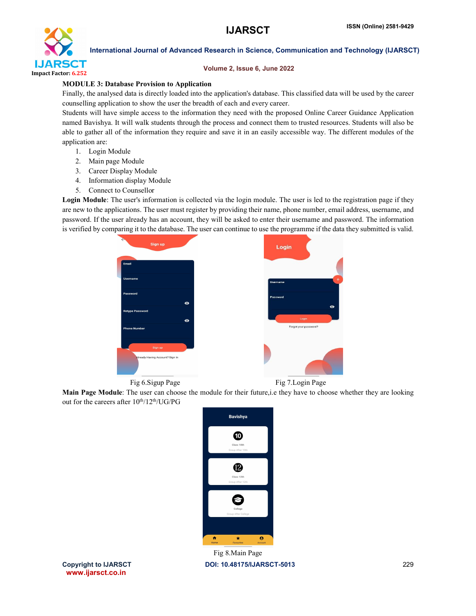

### Volume 2, Issue 6, June 2022

### MODULE 3: Database Provision to Application

Finally, the analysed data is directly loaded into the application's database. This classified data will be used by the career counselling application to show the user the breadth of each and every career.

Students will have simple access to the information they need with the proposed Online Career Guidance Application named Bavishya. It will walk students through the process and connect them to trusted resources. Students will also be able to gather all of the information they require and save it in an easily accessible way. The different modules of the application are:

- 1. Login Module
- 2. Main page Module
- 3. Career Display Module
- 4. Information display Module
- 5. Connect to Counsellor

Login Module: The user's information is collected via the login module. The user is led to the registration page if they are new to the applications. The user must register by providing their name, phone number, email address, username, and password. If the user already has an account, they will be asked to enter their username and password. The information is verified by comparing it to the database. The user can continue to use the programme if the data they submitted is valid.



Fig 6. Sigup Page Fig 7. Login Page

Main Page Module: The user can choose the module for their future,i.e they have to choose whether they are looking out for the careers after  $10^{th}/12^{th}/UG/PG$ 



www.ijarsct.co.in

Copyright to IJARSCTDOI: 10.48175/IJARSCT-5013 **229** Fig 8.Main Page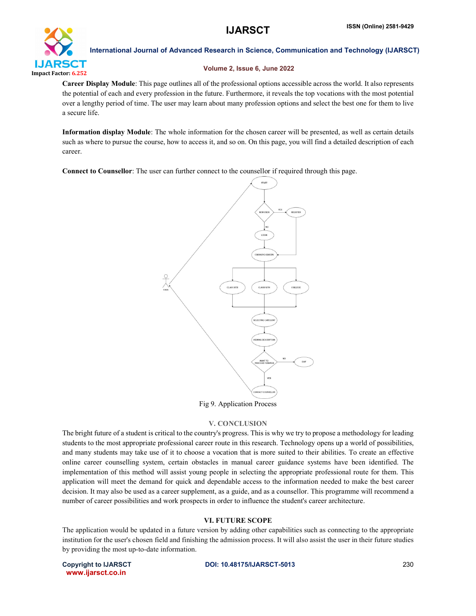

### Volume 2, Issue 6, June 2022

Career Display Module: This page outlines all of the professional options accessible across the world. It also represents the potential of each and every profession in the future. Furthermore, it reveals the top vocations with the most potential over a lengthy period of time. The user may learn about many profession options and select the best one for them to live a secure life.

Information display Module: The whole information for the chosen career will be presented, as well as certain details such as where to pursue the course, how to access it, and so on. On this page, you will find a detailed description of each career.

Connect to Counsellor: The user can further connect to the counsellor if required through this page.



### Fig 9. Application Process

### V. CONCLUSION

The bright future of a student is critical to the country's progress. This is why we try to propose a methodology for leading students to the most appropriate professional career route in this research. Technology opens up a world of possibilities, and many students may take use of it to choose a vocation that is more suited to their abilities. To create an effective online career counselling system, certain obstacles in manual career guidance systems have been identified. The implementation of this method will assist young people in selecting the appropriate professional route for them. This application will meet the demand for quick and dependable access to the information needed to make the best career decision. It may also be used as a career supplement, as a guide, and as a counsellor. This programme will recommend a number of career possibilities and work prospects in order to influence the student's career architecture.

### VI. FUTURE SCOPE

The application would be updated in a future version by adding other capabilities such as connecting to the appropriate institution for the user's chosen field and finishing the admission process. It will also assist the user in their future studies by providing the most up-to-date information.

www.ijarsct.co.in